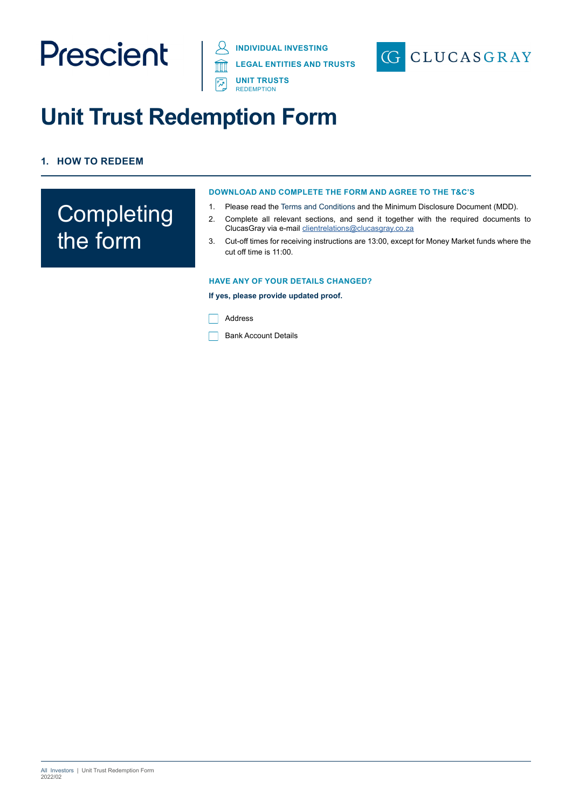# Prescient

**INDIVIDUAL INVESTING DISPOSE THE STATE REDEMPTION LEGAL ENTITIES AND TRUSTS**



### **Unit Trust Redemption Form**

#### **1. HOW TO REDEEM**

### **Completing** the form

#### **DOWNLOAD AND COMPLETE THE FORM AND AGREE TO THE T&C'S**

- 1. Please read the Terms and Conditions and the Minimum Disclosure Document (MDD).
- 2. Complete all relevant sections, and send it together with the required documents to ClucasGray via e-mail clientrelations@clucasgray.co.za
- 3. Cut-off times for receiving instructions are 13:00, except for Money Market funds where the cut off time is 11:00.

#### **HAVE ANY OF YOUR DETAILS CHANGED?**

**If yes, please provide updated proof.**

Address

Bank Account Details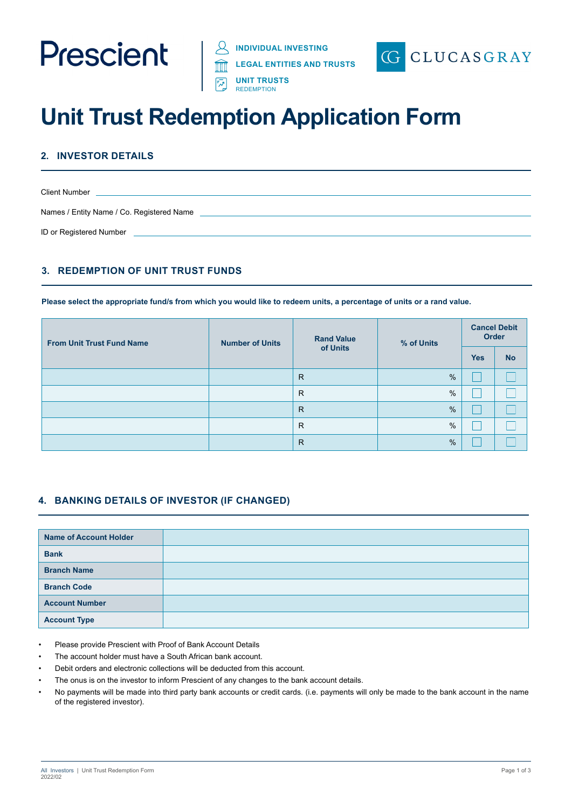

**LEGAL ENTITIES AND TRUSTS**



### **Unit Trust Redemption Application Form**

**E**<sub>对</sub> UNIT TRUSTS REDEMPTION

#### **2. INVESTOR DETAILS**

| <b>Client Number</b>                      |  |
|-------------------------------------------|--|
|                                           |  |
| Names / Entity Name / Co. Registered Name |  |
| ID or Registered Number                   |  |

#### **3. REDEMPTION OF UNIT TRUST FUNDS**

**Please select the appropriate fund/s from which you would like to redeem units, a percentage of units or a rand value.**

| <b>From Unit Trust Fund Name</b> | <b>Rand Value</b><br><b>Number of Units</b><br>of Units | % of Units   | <b>Cancel Debit</b><br>Order |            |           |
|----------------------------------|---------------------------------------------------------|--------------|------------------------------|------------|-----------|
|                                  |                                                         |              |                              | <b>Yes</b> | <b>No</b> |
|                                  |                                                         | $\mathsf{R}$ | %                            |            |           |
|                                  |                                                         | R            | $\%$                         |            |           |
|                                  |                                                         | $\mathsf{R}$ | $\%$                         |            |           |
|                                  |                                                         | R            | $\frac{0}{0}$                |            |           |
|                                  |                                                         | $\mathsf{R}$ | %                            |            |           |

#### **4. BANKING DETAILS OF INVESTOR (IF CHANGED)**

| <b>Name of Account Holder</b> |  |
|-------------------------------|--|
| <b>Bank</b>                   |  |
| <b>Branch Name</b>            |  |
| <b>Branch Code</b>            |  |
| <b>Account Number</b>         |  |
| <b>Account Type</b>           |  |

- Please provide Prescient with Proof of Bank Account Details
- The account holder must have a South African bank account.
- Debit orders and electronic collections will be deducted from this account.
- The onus is on the investor to inform Prescient of any changes to the bank account details.
- No payments will be made into third party bank accounts or credit cards. (i.e. payments will only be made to the bank account in the name of the registered investor).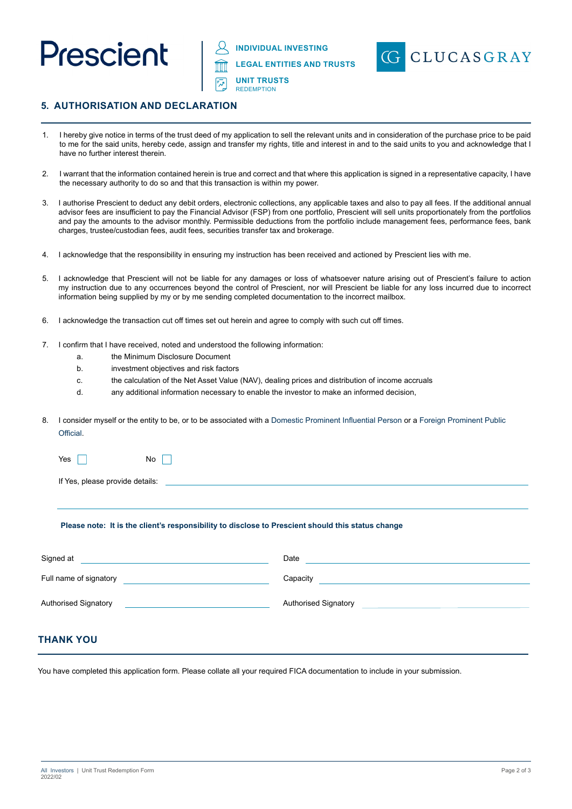

**INDIVIDUAL INVESTING**

**LEGAL ENTITIES AND TRUSTS**

**UNIT TRUSTS REDEMPTION** 



#### **5. AUTHORISATION AND DECLARATION**

- 1. I hereby give notice in terms of the trust deed of my application to sell the relevant units and in consideration of the purchase price to be paid to me for the said units, hereby cede, assign and transfer my rights, title and interest in and to the said units to you and acknowledge that I have no further interest therein.
- 2. I warrant that the information contained herein is true and correct and that where this application is signed in a representative capacity, I have the necessary authority to do so and that this transaction is within my power.
- 3. I authorise Prescient to deduct any debit orders, electronic collections, any applicable taxes and also to pay all fees. If the additional annual advisor fees are insufficient to pay the Financial Advisor (FSP) from one portfolio, Prescient will sell units proportionately from the portfolios and pay the amounts to the advisor monthly. Permissible deductions from the portfolio include management fees, performance fees, bank charges, trustee/custodian fees, audit fees, securities transfer tax and brokerage.
- 4. I acknowledge that the responsibility in ensuring my instruction has been received and actioned by Prescient lies with me.
- 5. I acknowledge that Prescient will not be liable for any damages or loss of whatsoever nature arising out of Prescient's failure to action my instruction due to any occurrences beyond the control of Prescient, nor will Prescient be liable for any loss incurred due to incorrect information being supplied by my or by me sending completed documentation to the incorrect mailbox.
- 6. I acknowledge the transaction cut off times set out herein and agree to comply with such cut off times.
- 7. I confirm that I have received, noted and understood the following information:
	- a. the Minimum Disclosure Document
	- b. investment objectives and risk factors
	- c. the calculation of the Net Asset Value (NAV), dealing prices and distribution of income accruals
	- d. any additional information necessary to enable the investor to make an informed decision,
- 8. I consider myself or the entity to be, or to be associated with a Domestic Prominent Influential Person or a Foreign Prominent Public **Official**

| Yes $\Box$                      | $No \Box$ |  |
|---------------------------------|-----------|--|
|                                 |           |  |
| If Yes, please provide details: |           |  |

#### **Please note: It is the client's responsibility to disclose to Prescient should this status change**

| Signed at                   | Date                                                                                                                            |
|-----------------------------|---------------------------------------------------------------------------------------------------------------------------------|
| Full name of signatory      | Capacity<br><u> 1980 - Jan Samuel Barbara, martin a shekara 1980 - An tsara 1980 - An tsara 1980 - An tsara 1980 - An tsara</u> |
| <b>Authorised Signatory</b> | <b>Authorised Signatory</b>                                                                                                     |

#### **THANK YOU**

You have completed this application form. Please collate all your required FICA documentation to include in your submission.